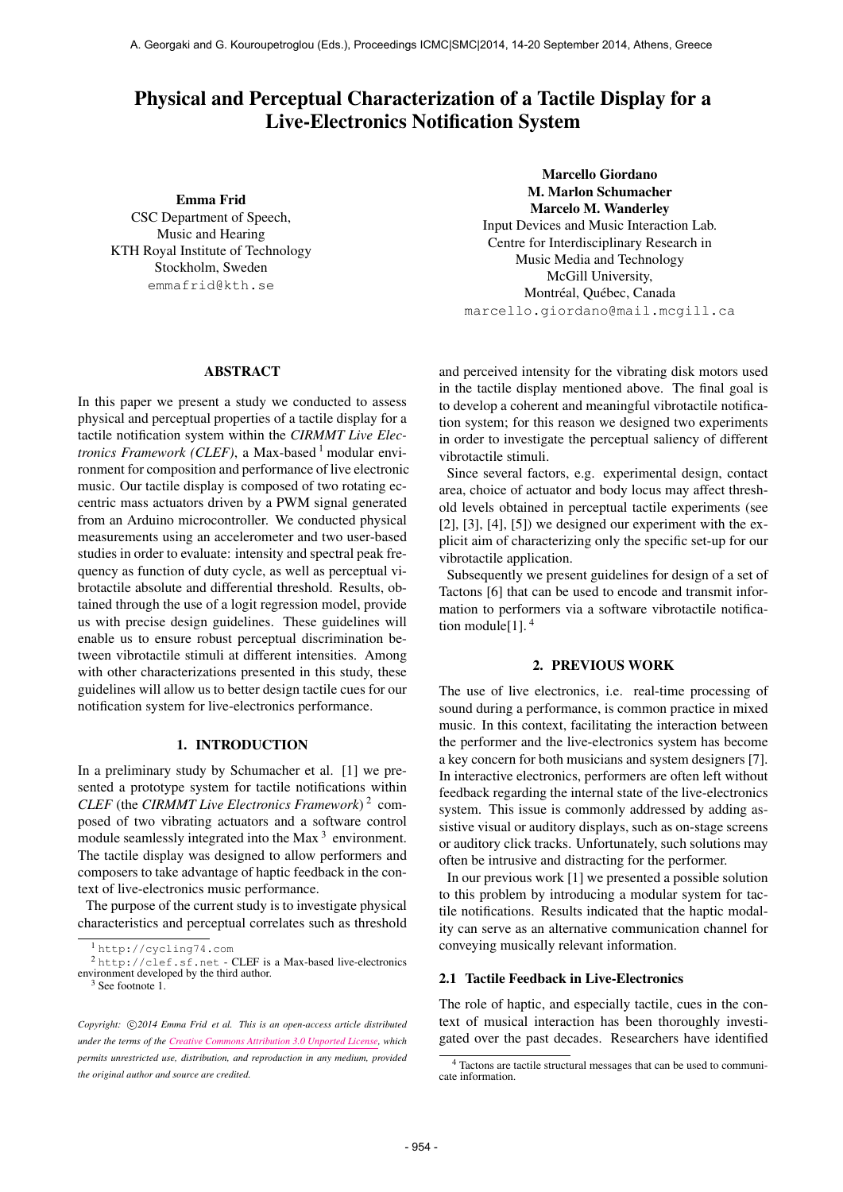# Physical and Perceptual Characterization of a Tactile Display for a Live-Electronics Notification System

## Emma Frid

CSC Department of Speech, Music and Hearing KTH Royal Institute of Technology [Stockholm, Sweden](mailto:emmafrid@kth.se) emmafrid@kth.se

Marcello Giordano M. Marlon Schumacher Marcelo M. Wanderley Input Devices and Music Interaction Lab. Centre for Interdisciplinary Research in Music Media and Technology [McGill University,](mailto:first.last@mail.mcgill.ca) Montréal, Québec, Canada marcello.giordano@mail.mcgill.ca

#### ABSTRACT

In this paper we present a study we conducted to assess physical and perceptual properties of a tactile display for a tactile notification system within the *CIRMMT Live Electronics Framework (CLEF)*, a Max-based <sup>1</sup> modular environment for composition and performance of live electronic music. Our tactile display is composed of two rotating eccentric mass actuators driven by a PWM signal generated from an Arduino microcontroller. We conducted physical measurements using an accelerometer and two user-based studies in order to evaluate: intensity and spectral peak frequency as function of duty cycle, as well as perceptual vibrotactile absolute and differential threshold. Results, obtained through the use of a logit regression model, provide us with precise design guidelines. These guidelines will enable us to ensure robust perceptual discrimination between vibrotactile stimuli at different intensities. Among with other characterizations presented in this study, these guidelines will allow us to better design tactile cues for our notification system for live-electronics performance.

## 1. INTRODUCTION

In a preliminary study by Schumacher et al. [1] we presented a prototype system for tactile notifications within *CLEF* (the *CIRMMT Live Electronics Framework*) 2 composed of two vibrating actuators and a software control module seamlessly integrated into the Max<sup>3</sup> environment. The tactile display was designed to allow performers and composers to take advantage of haptic feedback in the context of live-electronics music performance.

The purpose of the current study is to investigate physical characteristics and perceptual correlates such as threshold

 $^{2}$  [http://clef.sf.net](www.cycling74.com) - CLEF is a Max-based live-electronics env[ironment developed by the th](http://clef.sf.net)ird author.

and perceived intensity for the vibrating disk motors used in the tactile display mentioned above. The final goal is to develop a coherent and meaningful vibrotactile notification system; for this reason we designed two experiments in order to investigate the perceptual saliency of different vibrotactile stimuli.

Since several factors, e.g. experimental design, contact area, choice of actuator and body locus may affect threshold levels obtained in perceptual tactile experiments (see  $[2]$ ,  $[3]$ ,  $[4]$ ,  $[5]$ ) we designed our experiment with the explicit aim of characterizing only the specific set-up for our vibrotactile application.

Subsequently we present guidelines for design of a set of Tactons [6] that can be used to encode and transmit information to performers via a software vibrotactile notification module[1].  $4$ 

## 2. PREVIOUS WORK

The use of live electronics, i.e. real-time processing of sound during a performance, is common practice in mixed music. In this context, facilitating the interaction between the performer and the live-electronics system has become a key concern for both musicians and system designers [7]. In interactive electronics, performers are often left without feedback regarding the internal state of the live-electronics system. This issue is commonly addressed by adding assistive visual or auditory displays, such as on-stage screens or auditory click tracks. Unfortunately, such solutions may often be intrusive and distracting for the performer.

In our previous work [1] we presented a possible solution to this problem by introducing a modular system for tactile notifications. Results indicated that the haptic modality can serve as an alternative communication channel for conveying musically relevant information.

#### 2.1 Tactile Feedback in Live-Electronics

The role of haptic, and especially tactile, cues in the context of musical interaction has been thoroughly investigated over the past decades. Researchers have identified

<sup>1</sup> http://cycling74.com

<sup>3</sup> See footnote 1.

Copyright:  $\bigcirc$ 2014 Emma Frid et al. This is an open-access article distributed *under the terms of the [Creative Commons Attribution 3.0 Unported License,](http://creativecommons.org/licenses/by/3.0/) which permits unrestricted use, distribution, and reproduction in any medium, provided the original author and source are credited.*

<sup>4</sup> Tactons are tactile structural messages that can be used to communicate information.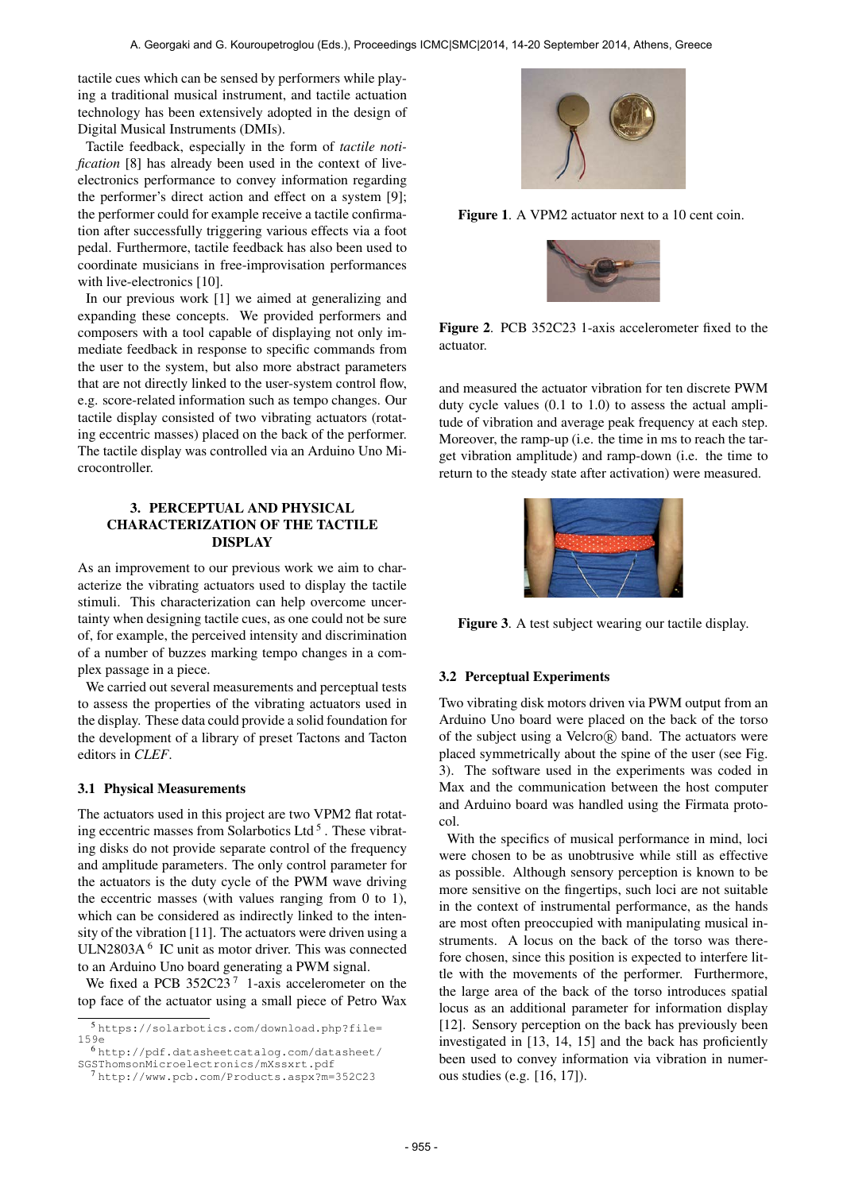tactile cues which can be sensed by performers while playing a traditional musical instrument, and tactile actuation technology has been extensively adopted in the design of Digital Musical Instruments (DMIs).

Tactile feedback, especially in the form of *tactile notification* [8] has already been used in the context of liveelectronics performance to convey information regarding the performer's direct action and effect on a system [9]; the performer could for example receive a tactile confirmation after successfully triggering various effects via a foot pedal. Furthermore, tactile feedback has also been used to coordinate musicians in free-improvisation performances with live-electronics [10].

In our previous work [1] we aimed at generalizing and expanding these concepts. We provided performers and composers with a tool capable of displaying not only immediate feedback in response to specific commands from the user to the system, but also more abstract parameters that are not directly linked to the user-system control flow, e.g. score-related information such as tempo changes. Our tactile display consisted of two vibrating actuators (rotating eccentric masses) placed on the back of the performer. The tactile display was controlled via an Arduino Uno Microcontroller.

# 3. PERCEPTUAL AND PHYSICAL CHARACTERIZATION OF THE TACTILE DISPLAY

As an improvement to our previous work we aim to characterize the vibrating actuators used to display the tactile stimuli. This characterization can help overcome uncertainty when designing tactile cues, as one could not be sure of, for example, the perceived intensity and discrimination of a number of buzzes marking tempo changes in a complex passage in a piece.

We carried out several measurements and perceptual tests to assess the properties of the vibrating actuators used in the display. These data could provide a solid foundation for the development of a library of preset Tactons and Tacton editors in *CLEF*.

# 3.1 Physical Measurements

The actuators used in this project are two VPM2 flat rotating eccentric masses from Solarbotics Ltd<sup>5</sup>. These vibrating disks do not provide separate control of the frequency and amplitude parameters. The only control parameter for the actuators is the duty cycle of the PWM wave driving the eccentric masses (with values ranging from 0 to 1), which can be considered as indirectly linked to the intensity of the vibration [11]. The actuators were driven using a ULN2803A $<sup>6</sup>$  IC unit as motor driver. This was connected</sup> to an Arduino Uno board generating a PWM signal.

We fixed a PCB  $352C23^7$  1-axis accelerometer on the top face of the actuator using a small piece of Petro Wax

<sup>6</sup> [http://pdf.datasheetcatalog.com/datasheet/](https://solarbotics.com/download.php?file=159e) SG[SThomsonMicroelectronics/mXssxrt.pdf](http://pdf.datasheetcatalog.com/datasheet/SGSThomsonMicroelectronics/mXssxrt.pdf)



Figure 1. A VPM2 actuator next to a 10 cent coin.



Figure 2. PCB 352C23 1-axis accelerometer fixed to the actuator.

and measured the actuator vibration for ten discrete PWM duty cycle values (0.1 to 1.0) to assess the actual amplitude of vibration and average peak frequency at each step. Moreover, the ramp-up (i.e. the time in ms to reach the target vibration amplitude) and ramp-down (i.e. the time to return to the steady state after activation) were measured.



Figure 3. A test subject wearing our tactile display.

#### 3.2 Perceptual Experiments

Two vibrating disk motors driven via PWM output from an Arduino Uno board were placed on the back of the torso of the subject using a Velcro $(\overline{R})$  band. The actuators were placed symmetrically about the spine of the user (see Fig. 3). The software used in the experiments was coded in Max and the communication between the host computer and Arduino board was handled using the Firmata protocol.

With the specifics of musical performance in mind, loci were chosen to be as unobtrusive while still as effective as possible. Although sensory perception is known to be more sensitive on the fingertips, such loci are not suitable in the context of instrumental performance, as the hands are most often preoccupied with manipulating musical instruments. A locus on the back of the torso was therefore chosen, since this position is expected to interfere little with the movements of the performer. Furthermore, the large area of the back of the torso introduces spatial locus as an additional parameter for information display [12]. Sensory perception on the back has previously been investigated in [13, 14, 15] and the back has proficiently been used to convey information via vibration in numerou[s studies \(e.g. \[16, 17\]\).](http://www.pcb.com/Products.aspx?m=352C23)

<sup>5</sup> https://solarbotics.com/download.php?file= 159e

<sup>7</sup> [http://www.pcb.com/Products.aspx?m=3](http://pdf.datasheetcatalog.com/datasheet/SGSThomsonMicroelectronics/mXssxrt.pdf)52C23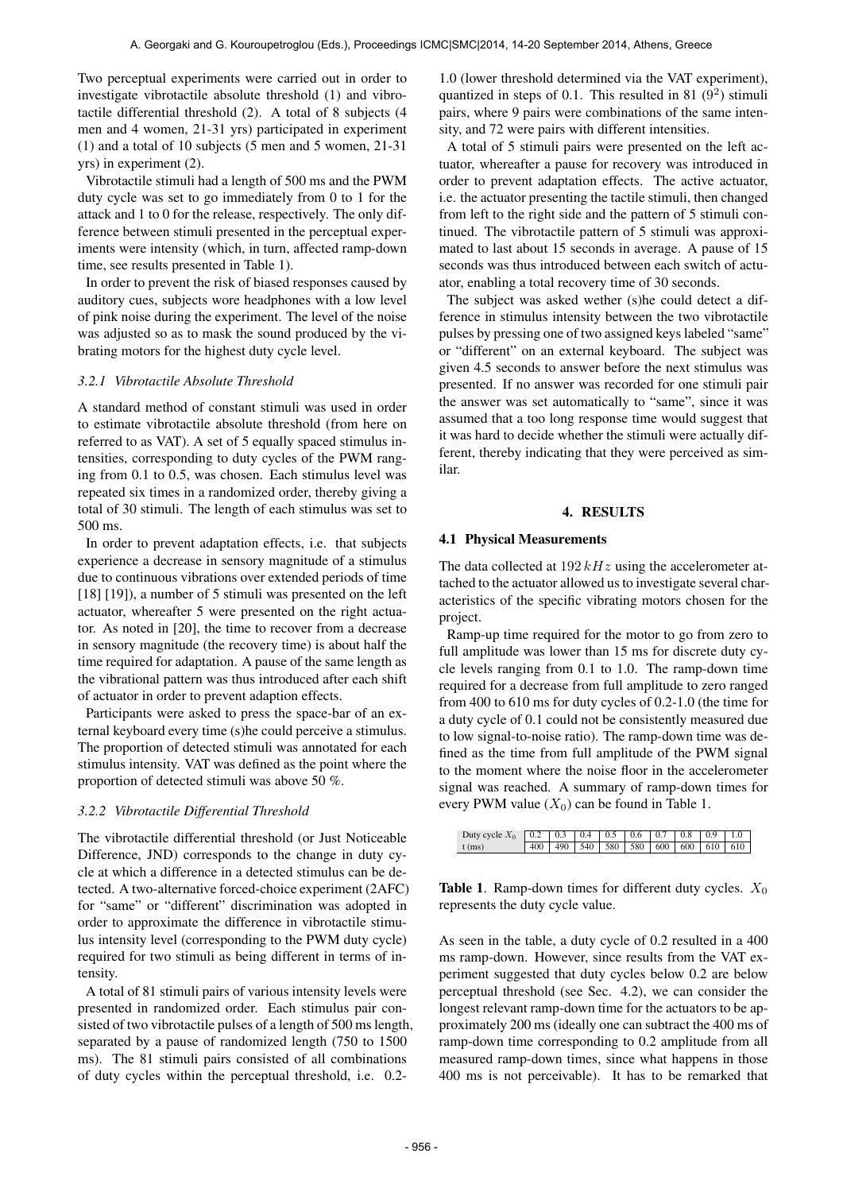Two perceptual experiments were carried out in order to investigate vibrotactile absolute threshold (1) and vibrotactile differential threshold (2). A total of 8 subjects (4 men and 4 women, 21-31 yrs) participated in experiment (1) and a total of 10 subjects (5 men and 5 women, 21-31 yrs) in experiment (2).

Vibrotactile stimuli had a length of 500 ms and the PWM duty cycle was set to go immediately from 0 to 1 for the attack and 1 to 0 for the release, respectively. The only difference between stimuli presented in the perceptual experiments were intensity (which, in turn, affected ramp-down time, see results presented in Table 1).

In order to prevent the risk of biased responses caused by auditory cues, subjects wore headphones with a low level of pink noise during the experiment. The level of the noise was adjusted so as to mask the sound produced by the vibrating motors for the highest duty cycle level.

#### *3.2.1 Vibrotactile Absolute Threshold*

A standard method of constant stimuli was used in order to estimate vibrotactile absolute threshold (from here on referred to as VAT). A set of 5 equally spaced stimulus intensities, corresponding to duty cycles of the PWM ranging from 0.1 to 0.5, was chosen. Each stimulus level was repeated six times in a randomized order, thereby giving a total of 30 stimuli. The length of each stimulus was set to 500 ms.

In order to prevent adaptation effects, i.e. that subjects experience a decrease in sensory magnitude of a stimulus due to continuous vibrations over extended periods of time [18] [19]), a number of 5 stimuli was presented on the left actuator, whereafter 5 were presented on the right actuator. As noted in [20], the time to recover from a decrease in sensory magnitude (the recovery time) is about half the time required for adaptation. A pause of the same length as the vibrational pattern was thus introduced after each shift of actuator in order to prevent adaption effects.

Participants were asked to press the space-bar of an external keyboard every time (s)he could perceive a stimulus. The proportion of detected stimuli was annotated for each stimulus intensity. VAT was defined as the point where the proportion of detected stimuli was above 50 %.

## *3.2.2 Vibrotactile Differential Threshold*

The vibrotactile differential threshold (or Just Noticeable Difference, JND) corresponds to the change in duty cycle at which a difference in a detected stimulus can be detected. A two-alternative forced-choice experiment (2AFC) for "same" or "different" discrimination was adopted in order to approximate the difference in vibrotactile stimulus intensity level (corresponding to the PWM duty cycle) required for two stimuli as being different in terms of intensity.

A total of 81 stimuli pairs of various intensity levels were presented in randomized order. Each stimulus pair consisted of two vibrotactile pulses of a length of 500 ms length, separated by a pause of randomized length (750 to 1500 ms). The 81 stimuli pairs consisted of all combinations of duty cycles within the perceptual threshold, i.e. 0.21.0 (lower threshold determined via the VAT experiment), quantized in steps of 0.1. This resulted in 81  $(9^2)$  stimuli pairs, where 9 pairs were combinations of the same intensity, and 72 were pairs with different intensities.

A total of 5 stimuli pairs were presented on the left actuator, whereafter a pause for recovery was introduced in order to prevent adaptation effects. The active actuator, i.e. the actuator presenting the tactile stimuli, then changed from left to the right side and the pattern of 5 stimuli continued. The vibrotactile pattern of 5 stimuli was approximated to last about 15 seconds in average. A pause of 15 seconds was thus introduced between each switch of actuator, enabling a total recovery time of 30 seconds.

The subject was asked wether (s)he could detect a difference in stimulus intensity between the two vibrotactile pulses by pressing one of two assigned keys labeled "same" or "different" on an external keyboard. The subject was given 4.5 seconds to answer before the next stimulus was presented. If no answer was recorded for one stimuli pair the answer was set automatically to "same", since it was assumed that a too long response time would suggest that it was hard to decide whether the stimuli were actually different, thereby indicating that they were perceived as similar.

#### 4. RESULTS

#### 4.1 Physical Measurements

The data collected at  $192 kHz$  using the accelerometer attached to the actuator allowed us to investigate several characteristics of the specific vibrating motors chosen for the project.

Ramp-up time required for the motor to go from zero to full amplitude was lower than 15 ms for discrete duty cycle levels ranging from 0.1 to 1.0. The ramp-down time required for a decrease from full amplitude to zero ranged from 400 to 610 ms for duty cycles of 0.2-1.0 (the time for a duty cycle of 0.1 could not be consistently measured due to low signal-to-noise ratio). The ramp-down time was defined as the time from full amplitude of the PWM signal to the moment where the noise floor in the accelerometer signal was reached. A summary of ramp-down times for every PWM value  $(X_0)$  can be found in Table 1.

| Duty cycle $X_0$   0.2   0.3   0.4   0.5   0.6   0.7   0.8   0.9   1.0 |  |  |                                     |  |  |
|------------------------------------------------------------------------|--|--|-------------------------------------|--|--|
| $t$ (ms)                                                               |  |  | 400 490 540 580 580 600 600 610 610 |  |  |

Table 1. Ramp-down times for different duty cycles.  $X_0$ represents the duty cycle value.

As seen in the table, a duty cycle of 0.2 resulted in a 400 ms ramp-down. However, since results from the VAT experiment suggested that duty cycles below 0.2 are below perceptual threshold (see Sec. 4.2), we can consider the longest relevant ramp-down time for the actuators to be approximately 200 ms (ideally one can subtract the 400 ms of ramp-down time corresponding to 0.2 amplitude from all measured ramp-down times, since what happens in those 400 ms is not perceivable). It has to be remarked that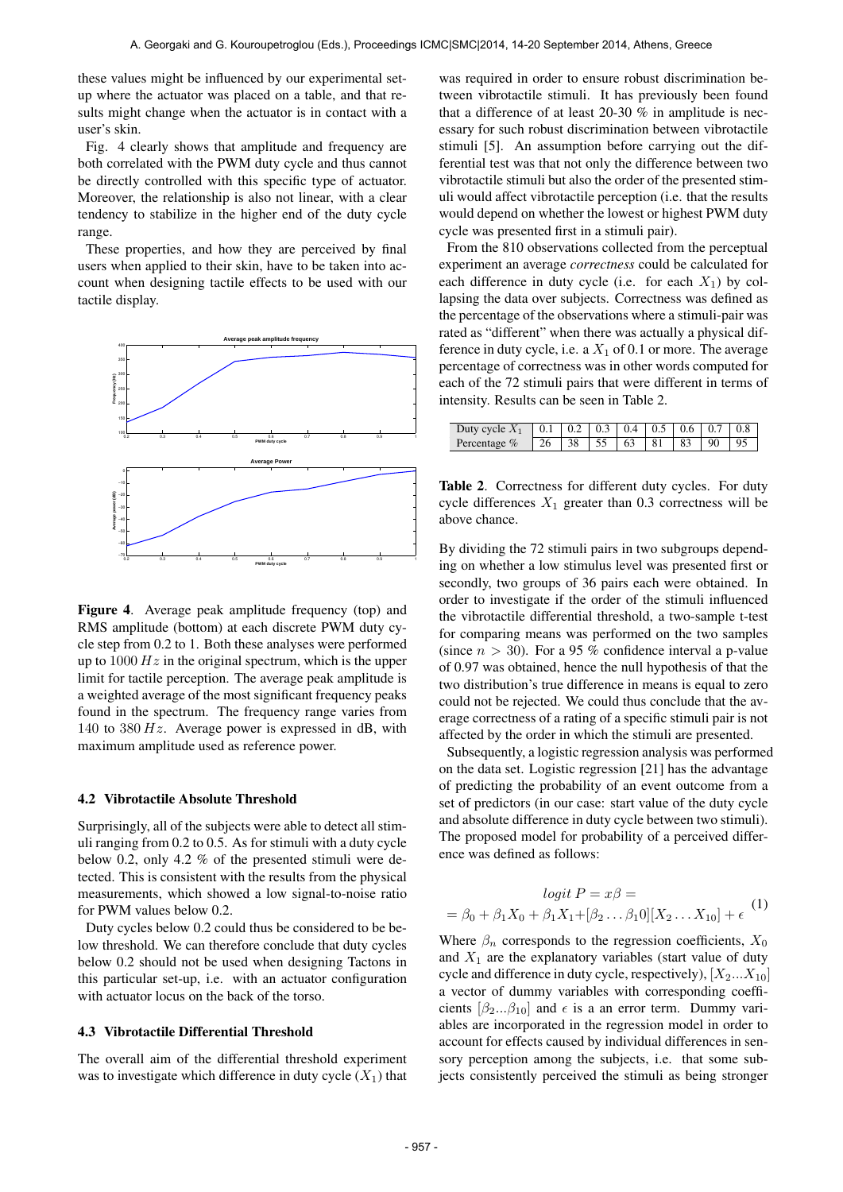these values might be influenced by our experimental setup where the actuator was placed on a table, and that results might change when the actuator is in contact with a user's skin.

Fig. 4 clearly shows that amplitude and frequency are both correlated with the PWM duty cycle and thus cannot be directly controlled with this specific type of actuator. Moreover, the relationship is also not linear, with a clear tendency to stabilize in the higher end of the duty cycle range.

These properties, and how they are perceived by final users when applied to their skin, have to be taken into account when designing tactile effects to be used with our tactile display.



Figure 4. Average peak amplitude frequency (top) and RMS amplitude (bottom) at each discrete PWM duty cycle step from 0.2 to 1. Both these analyses were performed up to  $1000 Hz$  in the original spectrum, which is the upper limit for tactile perception. The average peak amplitude is a weighted average of the most significant frequency peaks found in the spectrum. The frequency range varies from 140 to  $380 Hz$ . Average power is expressed in dB, with maximum amplitude used as reference power.

## 4.2 Vibrotactile Absolute Threshold

Surprisingly, all of the subjects were able to detect all stimuli ranging from 0.2 to 0.5. As for stimuli with a duty cycle below 0.2, only 4.2 % of the presented stimuli were detected. This is consistent with the results from the physical measurements, which showed a low signal-to-noise ratio for PWM values below 0.2.

Duty cycles below 0.2 could thus be considered to be below threshold. We can therefore conclude that duty cycles below 0.2 should not be used when designing Tactons in this particular set-up, i.e. with an actuator configuration with actuator locus on the back of the torso.

#### 4.3 Vibrotactile Differential Threshold

The overall aim of the differential threshold experiment was to investigate which difference in duty cycle  $(X_1)$  that was required in order to ensure robust discrimination between vibrotactile stimuli. It has previously been found that a difference of at least 20-30 % in amplitude is necessary for such robust discrimination between vibrotactile stimuli [5]. An assumption before carrying out the differential test was that not only the difference between two vibrotactile stimuli but also the order of the presented stimuli would affect vibrotactile perception (i.e. that the results would depend on whether the lowest or highest PWM duty cycle was presented first in a stimuli pair).

From the 810 observations collected from the perceptual experiment an average *correctness* could be calculated for each difference in duty cycle (i.e. for each  $X_1$ ) by collapsing the data over subjects. Correctness was defined as the percentage of the observations where a stimuli-pair was rated as "different" when there was actually a physical difference in duty cycle, i.e. a  $X_1$  of 0.1 or more. The average percentage of correctness was in other words computed for each of the 72 stimuli pairs that were different in terms of intensity. Results can be seen in Table 2.

| Duty cycle $X_1$ 0.1 0.2 0.3 0.4 0.5 0.6 0.7 0.8        |  |  |  |  |
|---------------------------------------------------------|--|--|--|--|
| Percentage $\%$   26   38   55   63   81   83   90   95 |  |  |  |  |

Table 2. Correctness for different duty cycles. For duty cycle differences  $X_1$  greater than 0.3 correctness will be above chance.

By dividing the 72 stimuli pairs in two subgroups depending on whether a low stimulus level was presented first or secondly, two groups of 36 pairs each were obtained. In order to investigate if the order of the stimuli influenced the vibrotactile differential threshold, a two-sample t-test for comparing means was performed on the two samples (since  $n > 30$ ). For a 95 % confidence interval a p-value of 0.97 was obtained, hence the null hypothesis of that the two distribution's true difference in means is equal to zero could not be rejected. We could thus conclude that the average correctness of a rating of a specific stimuli pair is not affected by the order in which the stimuli are presented.

Subsequently, a logistic regression analysis was performed on the data set. Logistic regression [21] has the advantage of predicting the probability of an event outcome from a set of predictors (in our case: start value of the duty cycle and absolute difference in duty cycle between two stimuli). The proposed model for probability of a perceived difference was defined as follows:

$$
logit P = x\beta =
$$
  
=  $\beta_0 + \beta_1 X_0 + \beta_1 X_1 + [\beta_2 ... \beta_1 0][X_2 ... X_{10}] + \epsilon$  (1)

Where  $\beta_n$  corresponds to the regression coefficients,  $X_0$ and  $X_1$  are the explanatory variables (start value of duty cycle and difference in duty cycle, respectively),  $[X_2...X_{10}]$ a vector of dummy variables with corresponding coefficients  $[\beta_2...\beta_{10}]$  and  $\epsilon$  is a an error term. Dummy variables are incorporated in the regression model in order to account for effects caused by individual differences in sensory perception among the subjects, i.e. that some subjects consistently perceived the stimuli as being stronger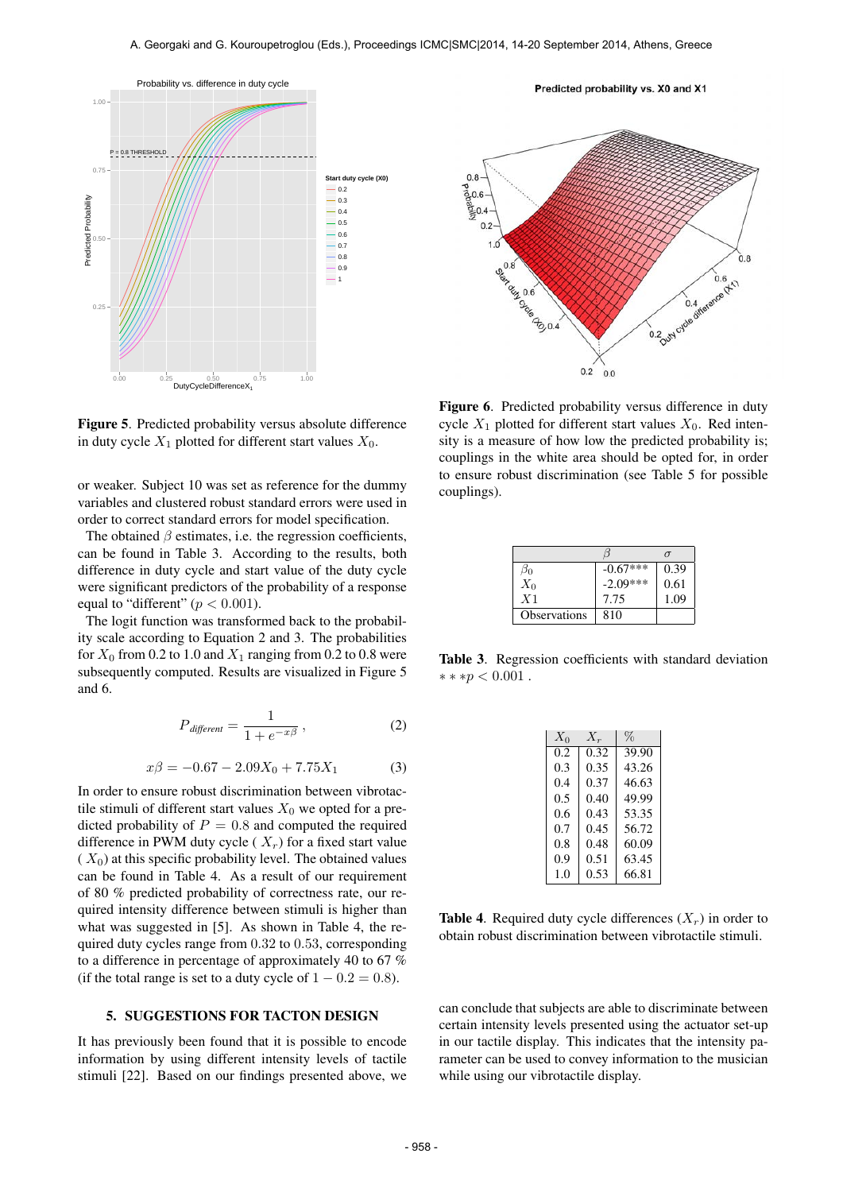

Figure 5. Predicted probability versus absolute difference in duty cycle  $X_1$  plotted for different start values  $X_0$ .

or weaker. Subject 10 was set as reference for the dummy variables and clustered robust standard errors were used in order to correct standard errors for model specification.

The obtained  $\beta$  estimates, i.e. the regression coefficients, can be found in Table 3. According to the results, both difference in duty cycle and start value of the duty cycle were significant predictors of the probability of a response equal to "different" ( $p < 0.001$ ).

The logit function was transformed back to the probability scale according to Equation 2 and 3. The probabilities for  $X_0$  from 0.2 to 1.0 and  $X_1$  ranging from 0.2 to 0.8 were subsequently computed. Results are visualized in Figure 5 and 6.

$$
P_{\text{different}} = \frac{1}{1 + e^{-x\beta}}\,,\tag{2}
$$

$$
x\beta = -0.67 - 2.09X_0 + 7.75X_1 \tag{3}
$$

In order to ensure robust discrimination between vibrotactile stimuli of different start values  $X_0$  we opted for a predicted probability of  $P = 0.8$  and computed the required difference in PWM duty cycle ( $X_r$ ) for a fixed start value  $(X_0)$  at this specific probability level. The obtained values can be found in Table 4. As a result of our requirement of 80 % predicted probability of correctness rate, our required intensity difference between stimuli is higher than what was suggested in [5]. As shown in Table 4, the required duty cycles range from 0.32 to 0.53, corresponding to a difference in percentage of approximately 40 to 67 % (if the total range is set to a duty cycle of  $1 - 0.2 = 0.8$ ).

#### 5. SUGGESTIONS FOR TACTON DESIGN

It has previously been found that it is possible to encode information by using different intensity levels of tactile stimuli [22]. Based on our findings presented above, we

Predicted probability vs. X0 and X1



Figure 6. Predicted probability versus difference in duty cycle  $X_1$  plotted for different start values  $X_0$ . Red intensity is a measure of how low the predicted probability is; couplings in the white area should be opted for, in order to ensure robust discrimination (see Table 5 for possible couplings).

| ØΩ                  | $-0.67***$ | 0.39 |
|---------------------|------------|------|
| $X_0$               | $-2.09***$ | 0.61 |
| X <sub>1</sub>      | 7.75       | 1.09 |
| <b>Observations</b> | 810        |      |

Table 3. Regression coefficients with standard deviation  $***p<0.001$ .

| $X_0$ | $X_r$ | $\%$  |
|-------|-------|-------|
| 0.2   | 0.32  | 39.90 |
| 0.3   | 0.35  | 43.26 |
| 0.4   | 0.37  | 46.63 |
| 0.5   | 0.40  | 49.99 |
| 0.6   | 0.43  | 53.35 |
| 0.7   | 0.45  | 56.72 |
| 0.8   | 0.48  | 60.09 |
| 0.9   | 0.51  | 63.45 |
| 1.0   | 0.53  | 66.81 |

**Table 4.** Required duty cycle differences  $(X_r)$  in order to obtain robust discrimination between vibrotactile stimuli.

can conclude that subjects are able to discriminate between certain intensity levels presented using the actuator set-up in our tactile display. This indicates that the intensity parameter can be used to convey information to the musician while using our vibrotactile display.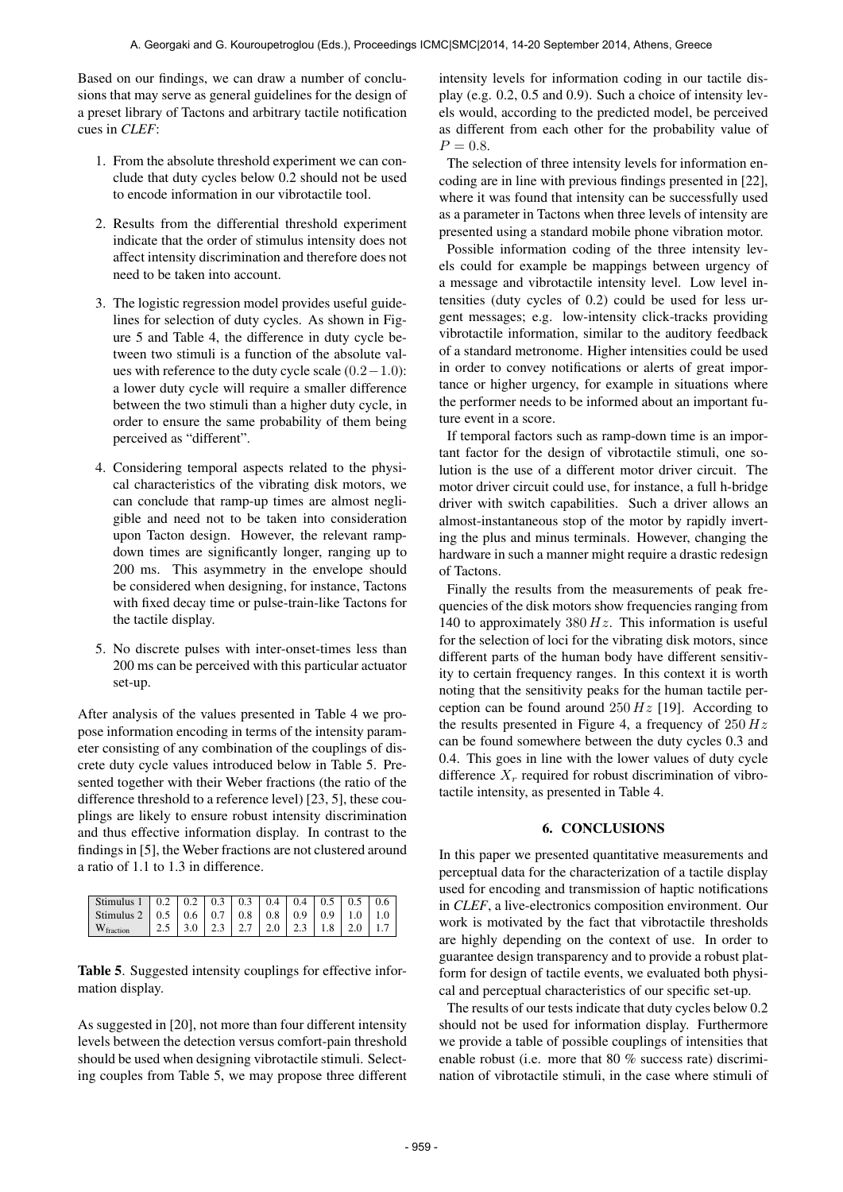Based on our findings, we can draw a number of conclusions that may serve as general guidelines for the design of a preset library of Tactons and arbitrary tactile notification cues in *CLEF*:

- 1. From the absolute threshold experiment we can conclude that duty cycles below 0.2 should not be used to encode information in our vibrotactile tool.
- 2. Results from the differential threshold experiment indicate that the order of stimulus intensity does not affect intensity discrimination and therefore does not need to be taken into account.
- 3. The logistic regression model provides useful guidelines for selection of duty cycles. As shown in Figure 5 and Table 4, the difference in duty cycle between two stimuli is a function of the absolute values with reference to the duty cycle scale (0.2−1.0): a lower duty cycle will require a smaller difference between the two stimuli than a higher duty cycle, in order to ensure the same probability of them being perceived as "different".
- 4. Considering temporal aspects related to the physical characteristics of the vibrating disk motors, we can conclude that ramp-up times are almost negligible and need not to be taken into consideration upon Tacton design. However, the relevant rampdown times are significantly longer, ranging up to 200 ms. This asymmetry in the envelope should be considered when designing, for instance, Tactons with fixed decay time or pulse-train-like Tactons for the tactile display.
- 5. No discrete pulses with inter-onset-times less than 200 ms can be perceived with this particular actuator set-up.

After analysis of the values presented in Table 4 we propose information encoding in terms of the intensity parameter consisting of any combination of the couplings of discrete duty cycle values introduced below in Table 5. Presented together with their Weber fractions (the ratio of the difference threshold to a reference level) [23, 5], these couplings are likely to ensure robust intensity discrimination and thus effective information display. In contrast to the findings in [5], the Weber fractions are not clustered around a ratio of 1.1 to 1.3 in difference.

| Stimulus 1   0.2   0.2   0.3   0.3   0.4   0.4   0.5   0.5   0.6 |  |  |  |                                                                                                    |  |
|------------------------------------------------------------------|--|--|--|----------------------------------------------------------------------------------------------------|--|
| Stimulus 2   0.5   0.6   0.7   0.8   0.8   0.9   0.9   1.0   1.0 |  |  |  |                                                                                                    |  |
| $W_{\text{fraction}}$                                            |  |  |  | $\mid$ 2.5 $\mid$ 3.0 $\mid$ 2.3 $\mid$ 2.7 $\mid$ 2.0 $\mid$ 2.3 $\mid$ 1.8 $\mid$ 2.0 $\mid$ 1.7 |  |

Table 5. Suggested intensity couplings for effective information display.

As suggested in [20], not more than four different intensity levels between the detection versus comfort-pain threshold should be used when designing vibrotactile stimuli. Selecting couples from Table 5, we may propose three different intensity levels for information coding in our tactile display (e.g. 0.2, 0.5 and 0.9). Such a choice of intensity levels would, according to the predicted model, be perceived as different from each other for the probability value of  $P = 0.8.$ 

The selection of three intensity levels for information encoding are in line with previous findings presented in [22], where it was found that intensity can be successfully used as a parameter in Tactons when three levels of intensity are presented using a standard mobile phone vibration motor.

Possible information coding of the three intensity levels could for example be mappings between urgency of a message and vibrotactile intensity level. Low level intensities (duty cycles of 0.2) could be used for less urgent messages; e.g. low-intensity click-tracks providing vibrotactile information, similar to the auditory feedback of a standard metronome. Higher intensities could be used in order to convey notifications or alerts of great importance or higher urgency, for example in situations where the performer needs to be informed about an important future event in a score.

If temporal factors such as ramp-down time is an important factor for the design of vibrotactile stimuli, one solution is the use of a different motor driver circuit. The motor driver circuit could use, for instance, a full h-bridge driver with switch capabilities. Such a driver allows an almost-instantaneous stop of the motor by rapidly inverting the plus and minus terminals. However, changing the hardware in such a manner might require a drastic redesign of Tactons.

Finally the results from the measurements of peak frequencies of the disk motors show frequencies ranging from 140 to approximately  $380 Hz$ . This information is useful for the selection of loci for the vibrating disk motors, since different parts of the human body have different sensitivity to certain frequency ranges. In this context it is worth noting that the sensitivity peaks for the human tactile perception can be found around  $250 Hz$  [19]. According to the results presented in Figure 4, a frequency of  $250 Hz$ can be found somewhere between the duty cycles 0.3 and 0.4. This goes in line with the lower values of duty cycle difference  $X_r$  required for robust discrimination of vibrotactile intensity, as presented in Table 4.

## 6. CONCLUSIONS

In this paper we presented quantitative measurements and perceptual data for the characterization of a tactile display used for encoding and transmission of haptic notifications in *CLEF*, a live-electronics composition environment. Our work is motivated by the fact that vibrotactile thresholds are highly depending on the context of use. In order to guarantee design transparency and to provide a robust platform for design of tactile events, we evaluated both physical and perceptual characteristics of our specific set-up.

The results of our tests indicate that duty cycles below 0.2 should not be used for information display. Furthermore we provide a table of possible couplings of intensities that enable robust (i.e. more that 80 % success rate) discrimination of vibrotactile stimuli, in the case where stimuli of